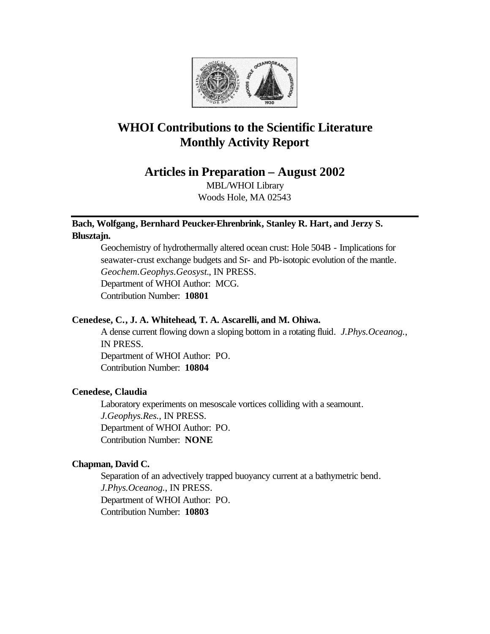

# **WHOI Contributions to the Scientific Literature Monthly Activity Report**

**Articles in Preparation – August 2002**

MBL/WHOI Library Woods Hole, MA 02543

# **Bach, Wolfgang, Bernhard Peucker-Ehrenbrink, Stanley R. Hart, and Jerzy S. Blusztajn.**

Geochemistry of hydrothermally altered ocean crust: Hole 504B - Implications for seawater-crust exchange budgets and Sr- and Pb-isotopic evolution of the mantle. *Geochem.Geophys.Geosyst.*, IN PRESS. Department of WHOI Author: MCG. Contribution Number: **10801**

## **Cenedese, C., J. A. Whitehead, T. A. Ascarelli, and M. Ohiwa.**

A dense current flowing down a sloping bottom in a rotating fluid. *J.Phys.Oceanog.*, IN PRESS.

Department of WHOI Author: PO. Contribution Number: **10804**

# **Cenedese, Claudia**

Laboratory experiments on mesoscale vortices colliding with a seamount. *J.Geophys.Res.*, IN PRESS. Department of WHOI Author: PO. Contribution Number: **NONE**

# **Chapman, David C.**

Separation of an advectively trapped buoyancy current at a bathymetric bend. *J.Phys.Oceanog.*, IN PRESS. Department of WHOI Author: PO. Contribution Number: **10803**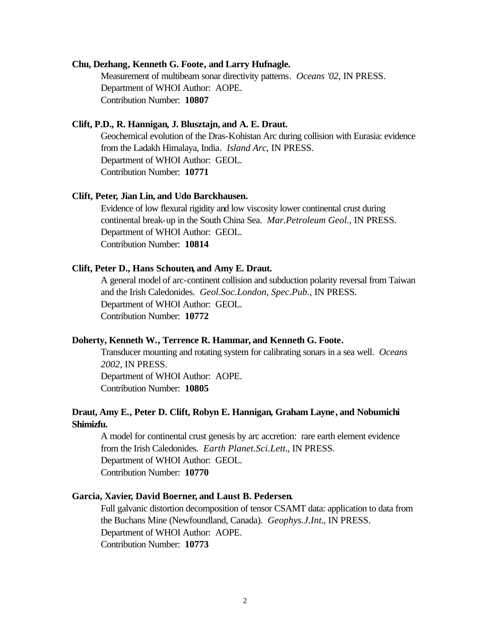#### **Chu, Dezhang, Kenneth G. Foote, and Larry Hufnagle.**

Measurement of multibeam sonar directivity patterns. *Oceans '02*, IN PRESS. Department of WHOI Author: AOPE. Contribution Number: **10807**

#### **Clift, P.D., R. Hannigan, J. Blusztajn, and A. E. Draut.**

Geochemical evolution of the Dras-Kohistan Arc during collision with Eurasia: evidence from the Ladakh Himalaya, India. *Island Arc*, IN PRESS. Department of WHOI Author: GEOL. Contribution Number: **10771**

#### **Clift, Peter, Jian Lin, and Udo Barckhausen.**

Evidence of low flexural rigidity and low viscosity lower continental crust during continental break-up in the South China Sea. *Mar.Petroleum Geol.*, IN PRESS. Department of WHOI Author: GEOL. Contribution Number: **10814**

#### **Clift, Peter D., Hans Schouten, and Amy E. Draut.**

A general model of arc-continent collision and subduction polarity reversal from Taiwan and the Irish Caledonides. *Geol.Soc.London, Spec.Pub.*, IN PRESS. Department of WHOI Author: GEOL. Contribution Number: **10772**

#### **Doherty, Kenneth W., Terrence R. Hammar, and Kenneth G. Foote.**

Transducer mounting and rotating system for calibrating sonars in a sea well. *Oceans 2002*, IN PRESS. Department of WHOI Author: AOPE.

Contribution Number: **10805**

## **Draut, Amy E., Peter D. Clift, Robyn E. Hannigan, Graham Layne, and Nobumichi Shimizfu.**

A model for continental crust genesis by arc accretion: rare earth element evidence from the Irish Caledonides. *Earth Planet.Sci.Lett.*, IN PRESS. Department of WHOI Author: GEOL. Contribution Number: **10770**

#### **Garcia, Xavier, David Boerner, and Laust B. Pedersen.**

Full galvanic distortion decomposition of tensor CSAMT data: application to data from the Buchans Mine (Newfoundland, Canada). *Geophys.J.Int.*, IN PRESS. Department of WHOI Author: AOPE. Contribution Number: **10773**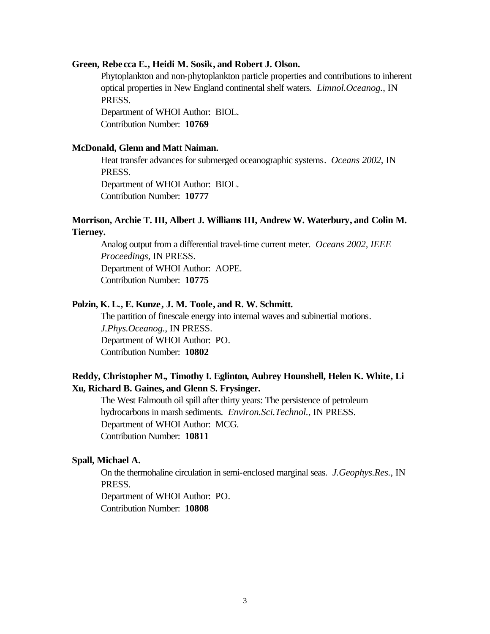#### **Green, Rebe cca E., Heidi M. Sosik, and Robert J. Olson.**

Phytoplankton and non-phytoplankton particle properties and contributions to inherent optical properties in New England continental shelf waters. *Limnol.Oceanog.*, IN PRESS.

Department of WHOI Author: BIOL. Contribution Number: **10769**

#### **McDonald, Glenn and Matt Naiman.**

Heat transfer advances for submerged oceanographic systems. *Oceans 2002*, IN PRESS.

Department of WHOI Author: BIOL. Contribution Number: **10777**

## **Morrison, Archie T. III, Albert J. Williams III, Andrew W. Waterbury, and Colin M. Tierney.**

Analog output from a differential travel-time current meter. *Oceans 2002, IEEE Proceedings*, IN PRESS. Department of WHOI Author: AOPE. Contribution Number: **10775**

#### **Polzin, K. L., E. Kunze, J. M. Toole, and R. W. Schmitt.**

The partition of finescale energy into internal waves and subinertial motions. *J.Phys.Oceanog.*, IN PRESS. Department of WHOI Author: PO. Contribution Number: **10802**

## **Reddy, Christopher M., Timothy I. Eglinton, Aubrey Hounshell, Helen K. White, Li Xu, Richard B. Gaines, and Glenn S. Frysinger.**

The West Falmouth oil spill after thirty years: The persistence of petroleum hydrocarbons in marsh sediments. *Environ.Sci.Technol.*, IN PRESS. Department of WHOI Author: MCG. Contribution Number: **10811**

#### **Spall, Michael A.**

On the thermohaline circulation in semi-enclosed marginal seas. *J.Geophys.Res.*, IN PRESS.

Department of WHOI Author: PO.

Contribution Number: **10808**